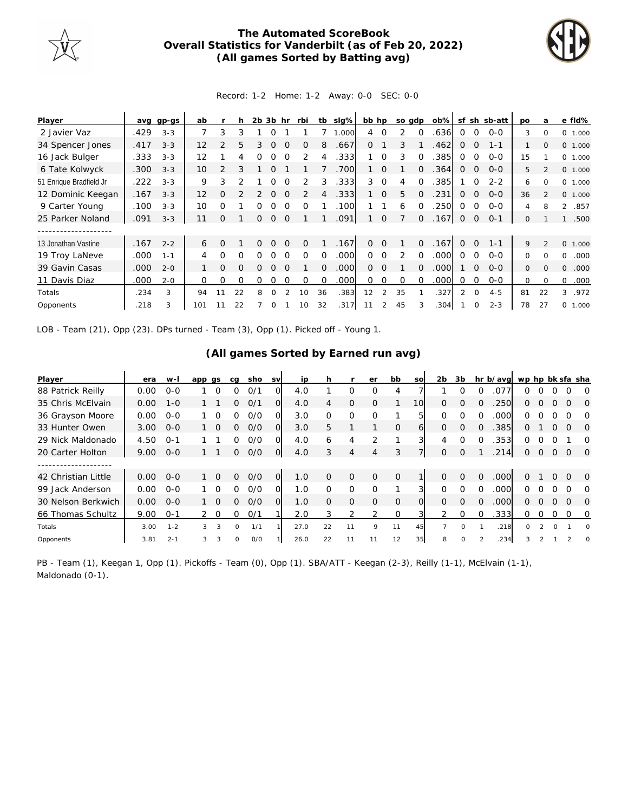

## **The Automated ScoreBook Overall Statistics for Vanderbilt (as of Feb 20, 2022) (All games Sorted by Batting avg)**



## Record: 1-2 Home: 1-2 Away: 0-0 SEC: 0-0

| Player                  |      | avg gp-gs | ab                |                | h        | 2b | 3b       | hr       | rbi           | tb             | slg%  | bb hp          |                | so gdp   |          | $ob\%$ |                |             | sf sh sb-att | po       | a              | e fld%                |
|-------------------------|------|-----------|-------------------|----------------|----------|----|----------|----------|---------------|----------------|-------|----------------|----------------|----------|----------|--------|----------------|-------------|--------------|----------|----------------|-----------------------|
| 2 Javier Vaz            | .429 | $3 - 3$   | 7                 | 3              | 3        |    | ∩        |          |               |                | 1.000 | $\overline{4}$ | $\Omega$       | 2        | $\Omega$ | .636   | $\Omega$       | $\circ$     | $O-O$        | 3        | 0              | 0 1.000               |
| 34 Spencer Jones        | .417 | $3 - 3$   | $12 \overline{ }$ | $\overline{2}$ | 5        | 3  | $\Omega$ | $\Omega$ | 0             | 8              | .667  | 0              |                | 3        |          | .462   | $\Omega$       | $\Omega$    | $1 - 1$      |          | $\mathbf{0}$   | 0 1.000               |
| 16 Jack Bulger          | .333 | $3 - 3$   | 12                |                | 4        | 0  |          |          | $\mathcal{P}$ | 4              | .333  |                | $\Omega$       | 3        | $\Omega$ | .385   | $\Omega$       | $\Omega$    | $0 - 0$      | 15       |                | 0 1.000               |
| 6 Tate Kolwyck          | .300 | $3 - 3$   | 10                | $\mathcal{P}$  | 3        |    | 0        |          |               |                | .700  |                | $\Omega$       |          | $\Omega$ | .364   | $\Omega$       | $\circ$     | $O - O$      | 5        | 2              | 0 1.000               |
| 51 Enrique Bradfield Jr | .222 | $3 - 3$   | 9                 | 3              |          |    |          | $\Omega$ |               | 3              | .333  | 3              | $\Omega$       | 4        | $\Omega$ | .385   |                | $\Omega$    | $2 - 2$      | 6        | $\Omega$       | 0 1.000               |
| 12 Dominic Keegan       | .167 | $3 - 3$   | $12 \overline{ }$ | O              |          |    | 0        | $\Omega$ | $\mathcal{P}$ | $\overline{4}$ | .333  |                | $\overline{0}$ | 5        | $\Omega$ | .231   | $\mathbf{0}$   | $\mathbf 0$ | $0 - 0$      | 36       | $\overline{2}$ | 0 1.000               |
| 9 Carter Young          | .100 | $3 - 3$   | 10                | Ω              |          | 0  | $\Omega$ | $\Omega$ | $\Omega$      |                | .100  |                |                | 6        | $\Omega$ | 250    | $\Omega$       | $\Omega$    | $O-O$        | 4        | 8              | $\mathcal{L}$<br>.857 |
| 25 Parker Noland        | .091 | $3 - 3$   | 11                | 0              |          | 0  | 0        | $\Omega$ |               |                | .091  |                | $\mathbf 0$    |          | 0        | .167   | 0              | 0           | $O - 1$      | 0        |                | .500                  |
|                         |      |           |                   |                |          |    |          |          |               |                |       |                |                |          |          |        |                |             |              |          |                |                       |
| 13 Jonathan Vastine     | .167 | $2 - 2$   | 6                 | Ω              |          | 0  | $\Omega$ | $\Omega$ | 0             |                | .167  | $\Omega$       | $\Omega$       |          | $\Omega$ | .167   | $\Omega$       | $\Omega$    | $1 - 1$      | 9        | $\overline{2}$ | 0 1.000               |
| 19 Troy LaNeve          | .000 | $1 - 1$   | 4                 | 0              | $\Omega$ | O  |          | $\Omega$ | O             | $\Omega$       | .000  | $\Omega$       | $\Omega$       | 2        | $\Omega$ | .000   | $\Omega$       | $\Omega$    | $0 - 0$      | 0        | $\Omega$       | .000<br>0             |
| 39 Gavin Casas          | .000 | $2 - 0$   |                   | 0              | $\Omega$ | 0  | 0        | $\Omega$ |               | $\Omega$       | .000  | $\Omega$       | $\Omega$       |          | $\Omega$ | .000   |                | $\Omega$    | $0 - 0$      | $\Omega$ | $\Omega$       | 0<br>.000             |
| 11 Davis Diaz           | .000 | $2 - 0$   | 0                 | 0              | $\Omega$ | 0  | $\Omega$ | $\Omega$ | $\Omega$      | $\Omega$       | .000  | $\Omega$       | $\Omega$       | $\Omega$ | $\Omega$ | 000    | $\Omega$       | 0           | $0 - 0$      | 0        | $\Omega$       | $\Omega$<br>.000      |
| Totals                  | .234 | 3         | 94                | 11             | 22       | 8  | O        |          | 10            | 36             | .383  | 12             | $\overline{2}$ | 35       |          | .327   | $\overline{2}$ | $\Omega$    | $4 - 5$      | 81       | 22             | .972<br>3             |
| Opponents               | .218 | 3         | 101               |                | 22       |    | 0        |          | 10            | 32             | .317  | 11             |                | 45       |          | .304   |                | $\Omega$    | $2 - 3$      | 78       | 27             | 0 1.000               |

LOB - Team (21), Opp (23). DPs turned - Team (3), Opp (1). Picked off - Young 1.

## **(All games Sorted by Earned run avg)**

| Player              | era  | w-I     | app gs        |                 | cg | sho | <b>SV</b>      | ip   |          |                | er       | bb           | <b>SO</b> | 2 <sub>b</sub> | 3b       |          | hr b/avg wp hp bk sfa sha |          |   |                |          |                |
|---------------------|------|---------|---------------|-----------------|----|-----|----------------|------|----------|----------------|----------|--------------|-----------|----------------|----------|----------|---------------------------|----------|---|----------------|----------|----------------|
| 88 Patrick Reilly   | 0.00 | $O - O$ |               | $\Omega$        | Ω  | 0/1 | 0              | 4.0  |          | 0              | $\Omega$ | 4            |           |                |          | $\Omega$ | .077                      | ∩        |   |                |          | O              |
| 35 Chris McElvain   | 0.00 | $1 - 0$ |               |                 | 0  | O/1 | O.             | 4.0  | 4        | $\Omega$       | $\Omega$ |              | 10        | $\Omega$       | $\Omega$ | $\Omega$ | .250                      | 0        | 0 | $\Omega$       | $\Omega$ | $\Omega$       |
| 36 Grayson Moore    | 0.00 | $O-O$   |               | $\Omega$        | 0  | O/O | $\Omega$       | 3.0  | 0        | 0              | $\Omega$ |              | 5         | $\Omega$       | O        |          | .000                      | 0        |   |                | O        | O              |
| 33 Hunter Owen      | 3.00 | $O - O$ |               | $\overline{0}$  | 0  | O/O | $\Omega$       | 3.0  | 5.       |                |          | $\Omega$     | 6         | $\Omega$       | $\Omega$ |          | .385                      | 0        |   | $\Omega$       | $\Omega$ | $\Omega$       |
| 29 Nick Maldonado   | 4.50 | $0 - 1$ |               |                 | 0  | 0/0 | O              | 4.0  | 6        | 4              | フ        |              |           | 4              | $\Omega$ | 0        | .353                      | 0        | Ω | $\Omega$       |          | $\Omega$       |
| 20 Carter Holton    | 9.00 | $O - O$ |               |                 | 0  | O/O | $\overline{O}$ | 4.0  | 3        | 4              | 4        | 3            |           | $\Omega$       | $\Omega$ |          | .214                      | 0        | 0 | $\overline{0}$ | $\Omega$ | $\circ$        |
|                     |      |         |               |                 |    |     |                |      |          |                |          |              |           |                |          |          |                           |          |   |                |          |                |
| 42 Christian Little | 0.00 | $O - O$ |               | $1\quad \Omega$ | 0  | O/O | $\overline{O}$ | 1.0  | $\Omega$ | $\Omega$       | $\Omega$ | $\mathbf{O}$ |           | $\Omega$       | $\Omega$ | $\Omega$ | .000                      | 0        |   | $\Omega$       | $\Omega$ | $\overline{O}$ |
| 99 Jack Anderson    | 0.00 | $O - O$ |               | $\Omega$        | 0  | O/O | O              | 1.0  | $\Omega$ | $\Omega$       | $\Omega$ |              |           | ∩              | ∩        |          | .000                      | 0        |   |                | $\Omega$ | O              |
| 30 Nelson Berkwich  | 0.00 | $O - O$ |               | $\overline{0}$  | 0  | O/O | $\Omega$       | 1.0  | $\Omega$ | $\mathbf 0$    | $\Omega$ | $\circ$      | $\Omega$  | $\Omega$       | $\Omega$ |          | .000                      | 0        |   | $\Omega$       | $\Omega$ | $\Omega$       |
| 66 Thomas Schultz   | 9.00 | $0 - 1$ | $\mathcal{P}$ | $\Omega$        | 0  | 0/1 |                | 2.0  | 3        | $\overline{2}$ | 2        | $\Omega$     |           | 2              | $\Omega$ | $\Omega$ | .333                      | 0        | ∩ | $\Omega$       | $\Omega$ | $\overline{0}$ |
| Totals              | 3.00 | $1 - 2$ | 3             | 3               | 0  | 1/1 |                | 27.0 | 22       | 11             | 9        | 11           | 45        |                | 0        |          | .218                      | $\Omega$ |   | $\Omega$       |          | $\Omega$       |
| Opponents           | 3.81 | $2 - 1$ | 3             | 3               | 0  | O/O |                | 26.0 | 22       | 11             | 11       | 12           | 35        | 8              | $\Omega$ |          | .234                      |          |   |                |          | $\Omega$       |

PB - Team (1), Keegan 1, Opp (1). Pickoffs - Team (0), Opp (1). SBA/ATT - Keegan (2-3), Reilly (1-1), McElvain (1-1), Maldonado (0-1).